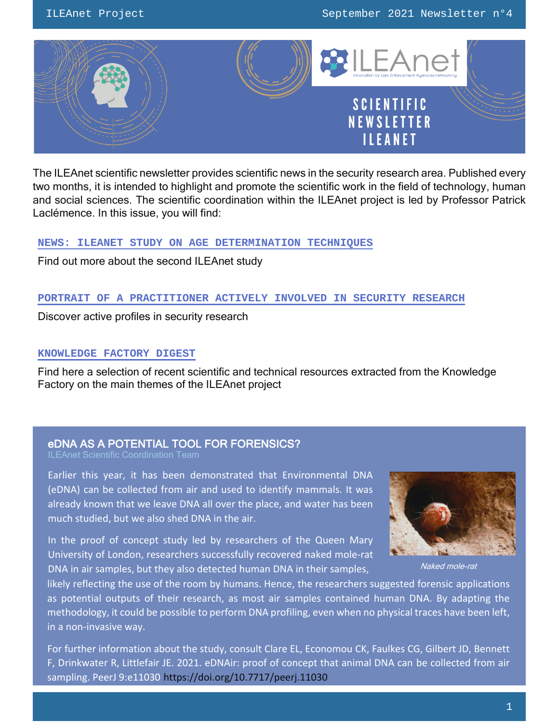

The ILEAnet scientific newsletter provides scientific news in the security research area. Published every two months, it is intended to highlight and promote the scientific work in the field of technology, human and social sciences. The scientific coordination within the ILEAnet project is led by Professor Patrick Laclémence. In this issue, you will find:

# **[NEWS: ILEANET STUDY ON AGE DETERMINATION](#page-1-0) TECHNIQUES**

Find out more about the second ILEAnet study

# **[PORTRAIT OF A PRACTITIONER ACTIVELY INVOLVED IN SECURITY RESEARCH](#page-2-0)**

Discover active profiles in security research

# **[KNOWLEDGE FACTORY DIGEST](#page-5-0)**

Find here a selection of recent scientific and technical resources extracted from the Knowledge Factory on the main themes of the ILEAnet project

#### eDNA AS A POTENTIAL TOOL FOR FORENSICS?

ILEAnet Scientific Coordination Team

Earlier this year, it has been demonstrated that Environmental DNA (eDNA) can be collected from air and used to identify mammals. It was already known that we leave DNA all over the place, and water has been much studied, but we also shed DNA in the air.

In the proof of concept study led by researchers of the Queen Mary University of London, researchers successfully recovered naked mole-rat DNA in air samples, but they also detected human DNA in their samples, Naked mole-rat



likely reflecting the use of the room by humans. Hence, the researchers suggested forensic applications as potential outputs of their research, as most air samples contained human DNA. By adapting the methodology, it could be possible to perform DNA profiling, even when no physical traces have been left, in a non-invasive way.

For further information about the study, consult Clare EL, Economou CK, Faulkes CG, Gilbert JD, Bennett F, Drinkwater R, Littlefair JE. 2021. eDNAir: proof of concept that animal DNA can be collected from air sampling. PeerJ 9:e11030 <https://doi.org/10.7717/peerj.11030>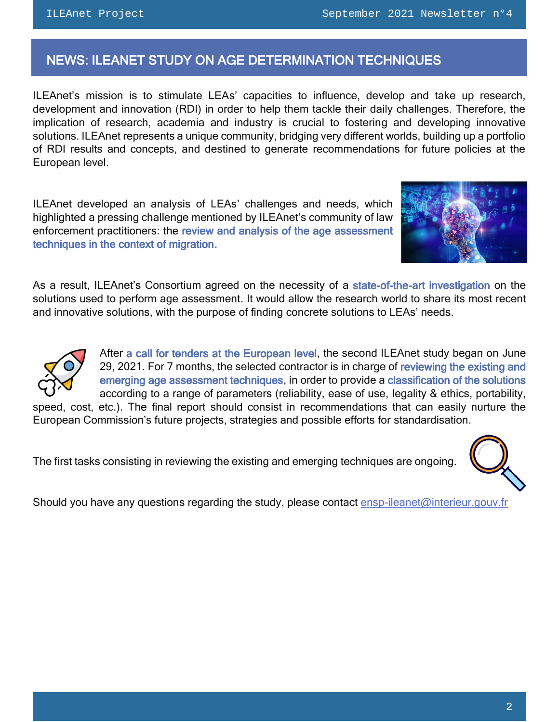# <span id="page-1-0"></span>NEWS: ILEANET STUDY ON AGE DETERMINATION TECHNIQUES

ILEAnet's mission is to stimulate LEAs' capacities to influence, develop and take up research, development and innovation (RDI) in order to help them tackle their daily challenges. Therefore, the implication of research, academia and industry is crucial to fostering and developing innovative solutions. ILEAnet represents a unique community, bridging very different worlds, building up a portfolio of RDI results and concepts, and destined to generate recommendations for future policies at the European level.

ILEAnet developed an analysis of LEAs' challenges and needs, which highlighted a pressing challenge mentioned by ILEAnet's community of law enforcement practitioners: the review and analysis of the age assessment techniques in the context of migration.



As a result, ILEAnet's Consortium agreed on the necessity of a state-of-the-art investigation on the solutions used to perform age assessment. It would allow the research world to share its most recent and innovative solutions, with the purpose of finding concrete solutions to LEAs' needs.



After a call for tenders at the European level, the second ILEAnet study began on June 29, 2021. For 7 months, the selected contractor is in charge of reviewing the existing and emerging age assessment techniques, in order to provide a classification of the solutions according to a range of parameters (reliability, ease of use, legality & ethics, portability,

speed, cost, etc.). The final report should consist in recommendations that can easily nurture the European Commission's future projects, strategies and possible efforts for standardisation.

The first tasks consisting in reviewing the existing and emerging techniques are ongoing.

Should you have any questions regarding the study, please contact ensp-ileanet@interieur.gouv.fr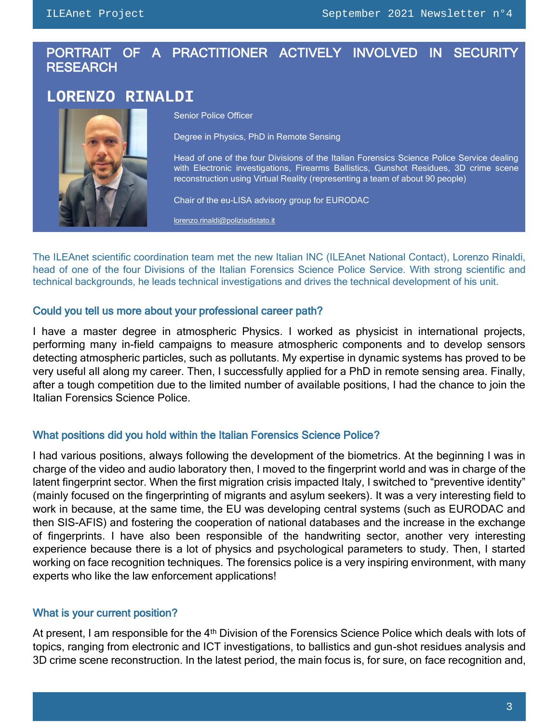# <span id="page-2-0"></span>PORTRAIT OF A PRACTITIONER ACTIVELY INVOLVED IN SECURITY **RESEARCH**

# **LORENZO RINALDI**



Senior Police Officer

Degree in Physics, PhD in Remote Sensing

Head of one of the four Divisions of the Italian Forensics Science Police Service dealing with Electronic investigations, Firearms Ballistics, Gunshot Residues, 3D crime scene reconstruction using Virtual Reality (representing a team of about 90 people)

Chair of the eu-LISA advisory group for EURODAC

[lorenzo.rinaldi@poliziadistato.it](mailto:lorenzo.rinaldi@poliziadistato.it)

The ILEAnet scientific coordination team met the new Italian INC (ILEAnet National Contact), Lorenzo Rinaldi, head of one of the four Divisions of the Italian Forensics Science Police Service. With strong scientific and technical backgrounds, he leads technical investigations and drives the technical development of his unit.

# Could you tell us more about your professional career path?

I have a master degree in atmospheric Physics. I worked as physicist in international projects, performing many in-field campaigns to measure atmospheric components and to develop sensors detecting atmospheric particles, such as pollutants. My expertise in dynamic systems has proved to be very useful all along my career. Then, I successfully applied for a PhD in remote sensing area. Finally, after a tough competition due to the limited number of available positions, I had the chance to join the Italian Forensics Science Police.

# What positions did you hold within the Italian Forensics Science Police?

I had various positions, always following the development of the biometrics. At the beginning I was in charge of the video and audio laboratory then, I moved to the fingerprint world and was in charge of the latent fingerprint sector. When the first migration crisis impacted Italy, I switched to "preventive identity" (mainly focused on the fingerprinting of migrants and asylum seekers). It was a very interesting field to work in because, at the same time, the EU was developing central systems (such as EURODAC and then SIS-AFIS) and fostering the cooperation of national databases and the increase in the exchange of fingerprints. I have also been responsible of the handwriting sector, another very interesting experience because there is a lot of physics and psychological parameters to study. Then, I started working on face recognition techniques. The forensics police is a very inspiring environment, with many experts who like the law enforcement applications!

# What is your current position?

At present, I am responsible for the 4<sup>th</sup> Division of the Forensics Science Police which deals with lots of topics, ranging from electronic and ICT investigations, to ballistics and gun-shot residues analysis and 3D crime scene reconstruction. In the latest period, the main focus is, for sure, on face recognition and,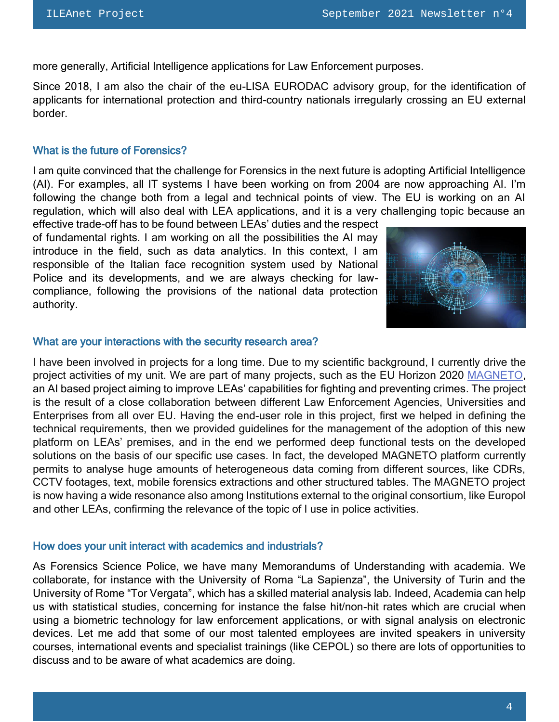more generally, Artificial Intelligence applications for Law Enforcement purposes.

Since 2018, I am also the chair of the eu-LISA EURODAC advisory group, for the identification of applicants for international protection and third-country nationals irregularly crossing an EU external border.

# What is the future of Forensics?

I am quite convinced that the challenge for Forensics in the next future is adopting Artificial Intelligence (AI). For examples, all IT systems I have been working on from 2004 are now approaching AI. I'm following the change both from a legal and technical points of view. The EU is working on an AI regulation, which will also deal with LEA applications, and it is a very challenging topic because an

effective trade-off has to be found between LEAs' duties and the respect of fundamental rights. I am working on all the possibilities the AI may introduce in the field, such as data analytics. In this context, I am responsible of the Italian face recognition system used by National Police and its developments, and we are always checking for lawcompliance, following the provisions of the national data protection authority.



#### What are your interactions with the security research area?

I have been involved in projects for a long time. Due to my scientific background, I currently drive the project activities of my unit. We are part of many projects, such as the EU Horizon 2020 [MAGNETO,](http://www.magneto-h2020.eu/) an AI based project aiming to improve LEAs' capabilities for fighting and preventing crimes. The project is the result of a close collaboration between different Law Enforcement Agencies, Universities and Enterprises from all over EU. Having the end-user role in this project, first we helped in defining the technical requirements, then we provided guidelines for the management of the adoption of this new platform on LEAs' premises, and in the end we performed deep functional tests on the developed solutions on the basis of our specific use cases. In fact, the developed MAGNETO platform currently permits to analyse huge amounts of heterogeneous data coming from different sources, like CDRs, CCTV footages, text, mobile forensics extractions and other structured tables. The MAGNETO project is now having a wide resonance also among Institutions external to the original consortium, like Europol and other LEAs, confirming the relevance of the topic of I use in police activities.

#### How does your unit interact with academics and industrials?

As Forensics Science Police, we have many Memorandums of Understanding with academia. We collaborate, for instance with the University of Roma "La Sapienza", the University of Turin and the University of Rome "Tor Vergata", which has a skilled material analysis lab. Indeed, Academia can help us with statistical studies, concerning for instance the false hit/non-hit rates which are crucial when using a biometric technology for law enforcement applications, or with signal analysis on electronic devices. Let me add that some of our most talented employees are invited speakers in university courses, international events and specialist trainings (like CEPOL) so there are lots of opportunities to discuss and to be aware of what academics are doing.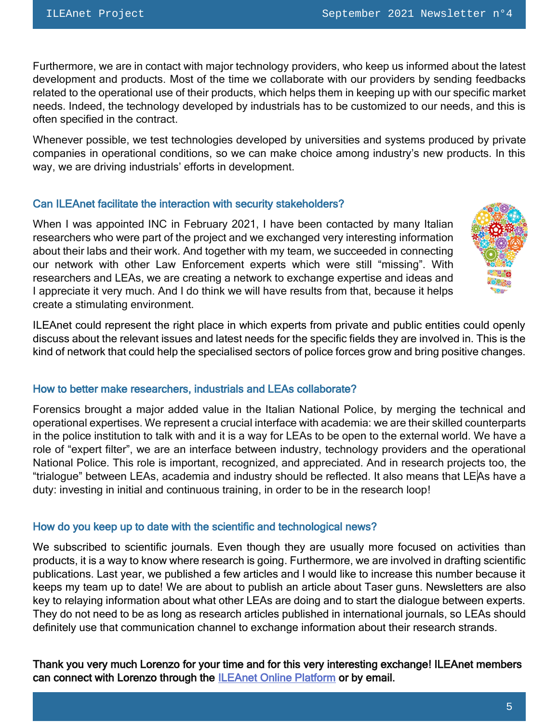Furthermore, we are in contact with major technology providers, who keep us informed about the latest development and products. Most of the time we collaborate with our providers by sending feedbacks related to the operational use of their products, which helps them in keeping up with our specific market needs. Indeed, the technology developed by industrials has to be customized to our needs, and this is often specified in the contract.

Whenever possible, we test technologies developed by universities and systems produced by private companies in operational conditions, so we can make choice among industry's new products. In this way, we are driving industrials' efforts in development.

# Can ILEAnet facilitate the interaction with security stakeholders?

When I was appointed INC in February 2021, I have been contacted by many Italian researchers who were part of the project and we exchanged very interesting information about their labs and their work. And together with my team, we succeeded in connecting our network with other Law Enforcement experts which were still "missing". With researchers and LEAs, we are creating a network to exchange expertise and ideas and I appreciate it very much. And I do think we will have results from that, because it helps create a stimulating environment.



ILEAnet could represent the right place in which experts from private and public entities could openly discuss about the relevant issues and latest needs for the specific fields they are involved in. This is the kind of network that could help the specialised sectors of police forces grow and bring positive changes.

#### How to better make researchers, industrials and LEAs collaborate?

Forensics brought a major added value in the Italian National Police, by merging the technical and operational expertises. We represent a crucial interface with academia: we are their skilled counterparts in the police institution to talk with and it is a way for LEAs to be open to the external world. We have a role of "expert filter", we are an interface between industry, technology providers and the operational National Police. This role is important, recognized, and appreciated. And in research projects too, the "trialogue" between LEAs, academia and industry should be reflected. It also means that LEAs have a duty: investing in initial and continuous training, in order to be in the research loop!

#### How do you keep up to date with the scientific and technological news?

We subscribed to scientific journals. Even though they are usually more focused on activities than products, it is a way to know where research is going. Furthermore, we are involved in drafting scientific publications. Last year, we published a few articles and I would like to increase this number because it keeps my team up to date! We are about to publish an article about Taser guns. Newsletters are also key to relaying information about what other LEAs are doing and to start the dialogue between experts. They do not need to be as long as research articles published in international journals, so LEAs should definitely use that communication channel to exchange information about their research strands.

Thank you very much Lorenzo for your time and for this very interesting exchange! ILEAnet members can connect with Lorenzo through the [ILEAnet Online Platform](https://ileanet.sym.place/dashboard) or by email.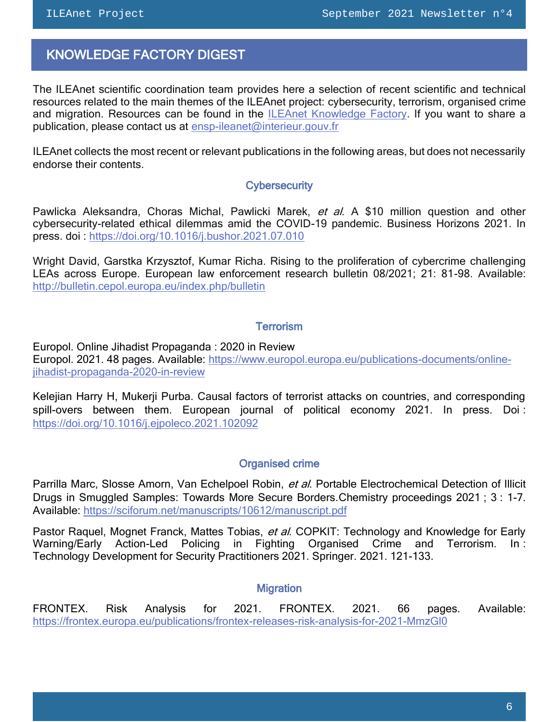<span id="page-5-0"></span> $\overline{a}$ 

# KNOWLEDGE FACTORY DIGEST

The ILEAnet scientific coordination team provides here a selection of recent scientific and technical resources related to the main themes of the ILEAnet project: cybersecurity, terrorism, organised crime and migration. Resources can be found in the [ILEAnet Knowledge Factory.](https://ileanet.sym.place/groups/profile/109443/ileanet-knowledge-factory) If you want to share a publication, please contact us at [ensp-ileanet@interieur.gouv.fr](mailto:ensp-ileanet@interieur.gouv.fr)

ILEAnet collects the most recent or relevant publications in the following areas, but does not necessarily endorse their contents.

#### **Cybersecurity**

Pawlicka Aleksandra, Choras Michal, Pawlicki Marek, et al. A \$10 million question and other cybersecurity-related ethical dilemmas amid the COVID-19 pandemic. Business Horizons 2021. In press. doi :<https://doi.org/10.1016/j.bushor.2021.07.010>

Wright David, Garstka Krzysztof, Kumar Richa. Rising to the proliferation of cybercrime challenging LEAs across Europe. European law enforcement research bulletin 08/2021; 21: 81-98. Available: <http://bulletin.cepol.europa.eu/index.php/bulletin>

# **Terrorism**

Europol. Online Jihadist Propaganda : 2020 in Review Europol. 2021. 48 pages. Available: [https://www.europol.europa.eu/publications-documents/online](https://www.europol.europa.eu/publications-documents/online-jihadist-propaganda-2020-in-review)[jihadist-propaganda-2020-in-review](https://www.europol.europa.eu/publications-documents/online-jihadist-propaganda-2020-in-review)

Kelejian Harry H, Mukerji Purba. Causal factors of terrorist attacks on countries, and corresponding spill-overs between them. European journal of political economy 2021. In press. Doi : <https://doi.org/10.1016/j.ejpoleco.2021.102092>

# Organised crime

Parrilla Marc, Slosse Amorn, Van Echelpoel Robin, et al. Portable Electrochemical Detection of Illicit Drugs in Smuggled Samples: Towards More Secure Borders.Chemistry proceedings 2021 ; 3 : 1-7. Available:<https://sciforum.net/manuscripts/10612/manuscript.pdf>

Pastor Raquel, Mognet Franck, Mattes Tobias, et al. COPKIT: Technology and Knowledge for Early Warning/Early Action-Led Policing in Fighting Organised Crime and Terrorism. In : Technology Development for Security Practitioners 2021. Springer. 2021. 121-133.

#### **Migration**

FRONTEX. Risk Analysis for 2021. FRONTEX. 2021. 66 pages. Available: <https://frontex.europa.eu/publications/frontex-releases-risk-analysis-for-2021-MmzGl0>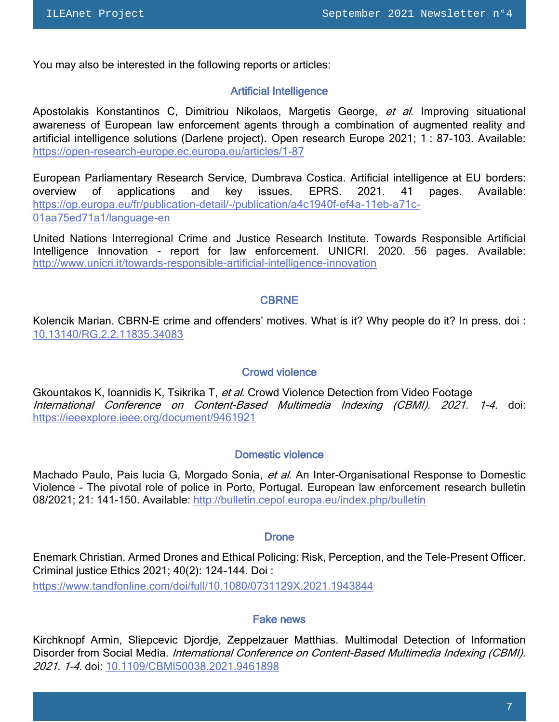You may also be interested in the following reports or articles:

#### Artificial Intelligence

Apostolakis Konstantinos C, Dimitriou Nikolaos, Margetis George, et al. Improving situational awareness of European law enforcement agents through a combination of augmented reality and artificial intelligence solutions (Darlene project). Open research Europe 2021; 1 : 87-103. Available: <https://open-research-europe.ec.europa.eu/articles/1-87>

European Parliamentary Research Service, Dumbrava Costica. Artificial intelligence at EU borders: overview of applications and key issues. EPRS. 2021. 41 pages. Available: [https://op.europa.eu/fr/publication-detail/-/publication/a4c1940f-ef4a-11eb-a71c-](https://op.europa.eu/fr/publication-detail/-/publication/a4c1940f-ef4a-11eb-a71c-01aa75ed71a1/language-en)[01aa75ed71a1/language-en](https://op.europa.eu/fr/publication-detail/-/publication/a4c1940f-ef4a-11eb-a71c-01aa75ed71a1/language-en)

United Nations Interregional Crime and Justice Research Institute. Towards Responsible Artificial Intelligence Innovation - report for law enforcement. UNICRI. 2020. 56 pages. Available: <http://www.unicri.it/towards-responsible-artificial-intelligence-innovation>

#### CBRNE

Kolencik Marian. CBRN-E crime and offenders' motives. What is it? Why people do it? In press. doi : [10.13140/RG.2.2.11835.34083](http://dx.doi.org/10.13140/RG.2.2.11835.34083)

# Crowd violence

Gkountakos K, Ioannidis K, Tsikrika T, et al. Crowd Violence Detection from Video Footage International Conference on Content-Based Multimedia Indexing (CBMI). 2021. 1-4. doi: <https://ieeexplore.ieee.org/document/9461921>

#### Domestic violence

Machado Paulo, Pais lucia G, Morgado Sonia, et al. An Inter-Organisational Response to Domestic Violence - The pivotal role of police in Porto, Portugal. European law enforcement research bulletin 08/2021; 21: 141-150. Available:<http://bulletin.cepol.europa.eu/index.php/bulletin>

#### **Drone**

Enemark Christian. Armed Drones and Ethical Policing: Risk, Perception, and the Tele-Present Officer. Criminal justice Ethics 2021; 40(2): 124-144. Doi : <https://www.tandfonline.com/doi/full/10.1080/0731129X.2021.1943844>

#### Fake news

Kirchknopf Armin, Sliepcevic Djordje, Zeppelzauer Matthias. Multimodal Detection of Information Disorder from Social Media. International Conference on Content-Based Multimedia Indexing (CBMI). 2021. 1-4. doi: [10.1109/CBMI50038.2021.9461898](10.1109/CBMI50038.2021.9461898.)